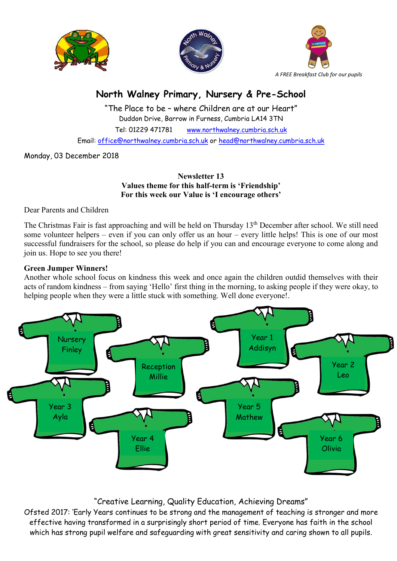





# North Walney Primary, Nursery & Pre-School

"The Place to be – where Children are at our Heart" Duddon Drive, Barrow in Furness, Cumbria LA14 3TN Tel: 01229 471781 www.northwalney.cumbria.sch.uk Email: office@northwalney.cumbria.sch.uk or head@northwalney.cumbria.sch.uk

Monday, 03 December 2018

# Newsletter 13 Values theme for this half-term is 'Friendship' For this week our Value is 'I encourage others'

Dear Parents and Children

The Christmas Fair is fast approaching and will be held on Thursday 13th December after school. We still need some volunteer helpers – even if you can only offer us an hour – every little helps! This is one of our most successful fundraisers for the school, so please do help if you can and encourage everyone to come along and join us. Hope to see you there!

# Green Jumper Winners!

Another whole school focus on kindness this week and once again the children outdid themselves with their acts of random kindness – from saying 'Hello' first thing in the morning, to asking people if they were okay, to helping people when they were a little stuck with something. Well done everyone!.



# "Creative Learning, Quality Education, Achieving Dreams"

Ofsted 2017: 'Early Years continues to be strong and the management of teaching is stronger and more effective having transformed in a surprisingly short period of time. Everyone has faith in the school which has strong pupil welfare and safeguarding with great sensitivity and caring shown to all pupils.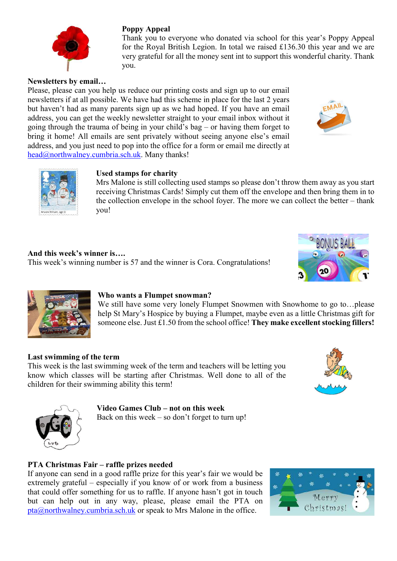

# Poppy Appeal

Thank you to everyone who donated via school for this year's Poppy Appeal for the Royal British Legion. In total we raised £136.30 this year and we are very grateful for all the money sent int to support this wonderful charity. Thank you.

#### Newsletters by email…

Please, please can you help us reduce our printing costs and sign up to our email newsletters if at all possible. We have had this scheme in place for the last 2 years but haven't had as many parents sign up as we had hoped. If you have an email address, you can get the weekly newsletter straight to your email inbox without it going through the trauma of being in your child's bag – or having them forget to bring it home! All emails are sent privately without seeing anyone else's email address, and you just need to pop into the office for a form or email me directly at head@northwalney.cumbria.sch.uk. Many thanks!





#### Used stamps for charity

Mrs Malone is still collecting used stamps so please don't throw them away as you start receiving Christmas Cards! Simply cut them off the envelope and then bring them in to the collection envelope in the school foyer. The more we can collect the better – thank you!

And this week's winner is…. This week's winning number is 57 and the winner is Cora. Congratulations!





# Who wants a Flumpet snowman?

We still have some very lonely Flumpet Snowmen with Snowhome to go to…please help St Mary's Hospice by buying a Flumpet, maybe even as a little Christmas gift for someone else. Just  $£1.50$  from the school office! They make excellent stocking fillers!

#### Last swimming of the term

This week is the last swimming week of the term and teachers will be letting you know which classes will be starting after Christmas. Well done to all of the children for their swimming ability this term!





# Video Games Club – not on this week

Back on this week – so don't forget to turn up!

# PTA Christmas Fair – raffle prizes needed

If anyone can send in a good raffle prize for this year's fair we would be extremely grateful – especially if you know of or work from a business that could offer something for us to raffle. If anyone hasn't got in touch but can help out in any way, please, please email the PTA on pta@northwalney.cumbria.sch.uk or speak to Mrs Malone in the office.